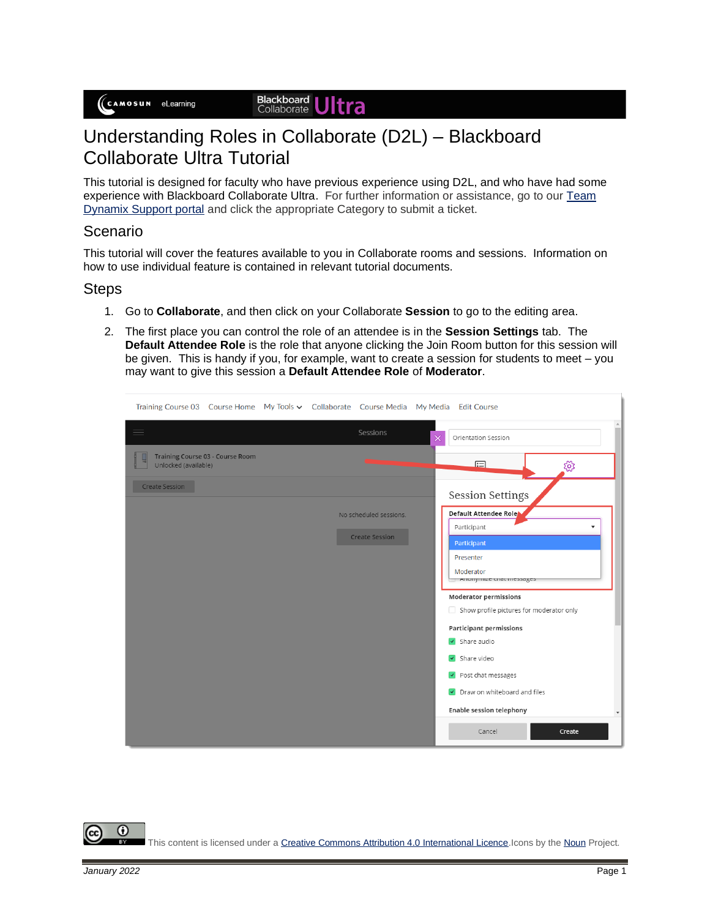#### Blackboard<br>Collaborate Jltra

# Understanding Roles in Collaborate (D2L) – Blackboard Collaborate Ultra Tutorial

This tutorial is designed for faculty who have previous experience using D2L, and who have had some experience with Blackboard Collaborate Ultra. For further information or assistance, go to our [Team](https://camosun.teamdynamix.com/TDClient/67/Portal/Requests/ServiceCatalog?CategoryID=523)  [Dynamix Support portal](https://camosun.teamdynamix.com/TDClient/67/Portal/Requests/ServiceCatalog?CategoryID=523) and click the appropriate Category to submit a ticket.

### Scenario

This tutorial will cover the features available to you in Collaborate rooms and sessions. Information on how to use individual feature is contained in relevant tutorial documents.

### **Steps**

- 1. Go to **Collaborate**, and then click on your Collaborate **Session** to go to the editing area.
- 2. The first place you can control the role of an attendee is in the **Session Settings** tab. The **Default Attendee Role** is the role that anyone clicking the Join Room button for this session will be given. This is handy if you, for example, want to create a session for students to meet – you may want to give this session a **Default Attendee Role** of **Moderator**.

| Training Course 03 Course Home My Tools v Collaborate Course Media My Media Edit Course |                        |                                                                          |
|-----------------------------------------------------------------------------------------|------------------------|--------------------------------------------------------------------------|
| ≡                                                                                       | Sessions               | Orientation Session<br>$\times$                                          |
| Training Course 03 - Course Room<br>Unlocked (available)                                |                        | 日<br>್ಸಿಜ್ಞ                                                              |
| Create Session                                                                          |                        | <b>Session Settings</b>                                                  |
|                                                                                         | No scheduled sessions. | Default Attendee Role<br>Participant<br>$\overline{\mathbf{v}}$          |
|                                                                                         | <b>Create Session</b>  | Participant<br>Presenter                                                 |
|                                                                                         |                        | Moderator<br>Amonymize chat messages                                     |
|                                                                                         |                        | <b>Moderator permissions</b><br>Show profile pictures for moderator only |
|                                                                                         |                        | <b>Participant permissions</b><br>$\triangledown$ Share audio            |
|                                                                                         |                        | $\sqrt{\phantom{a}}$ Share video                                         |
|                                                                                         |                        | $\triangleright$ Post chat messages<br>Draw on whiteboard and files      |
|                                                                                         |                        | <b>Enable session telephony</b><br>$\overline{\phantom{a}}$              |
|                                                                                         |                        | Cancel<br>Create                                                         |

G This content is licensed under [a Creative Commons Attribution 4.0 International Licence.I](https://creativecommons.org/licenses/by/4.0/)cons by th[e Noun](https://creativecommons.org/website-icons/) Project.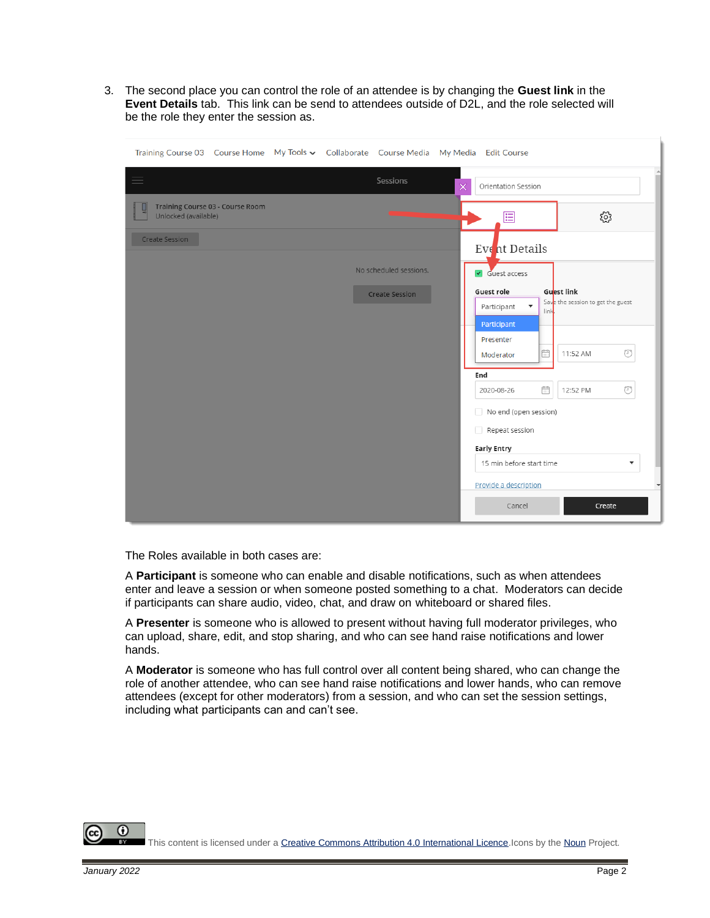3. The second place you can control the role of an attendee is by changing the **Guest link** in the **Event Details** tab. This link can be send to attendees outside of D2L, and the role selected will be the role they enter the session as.

| Training Course 03 Course Home My Tools v Collaborate Course Media My Media Edit Course |                        |          |                                                  |                                                 |
|-----------------------------------------------------------------------------------------|------------------------|----------|--------------------------------------------------|-------------------------------------------------|
| $\equiv$                                                                                | Sessions               | $\times$ | Orientation Session                              |                                                 |
| Training Course 03 - Course Room<br>Unlocked (available)                                |                        |          | 囯                                                | ૹૢ૽ૺ                                            |
| Create Session                                                                          |                        |          | Event Details                                    |                                                 |
|                                                                                         | No scheduled sessions. |          | $\sqrt{ }$ Guest access                          |                                                 |
|                                                                                         | <b>Create Session</b>  |          | Guest role<br>Participant<br>link<br>Participant | Guest link<br>Save the session to get the guest |
|                                                                                         |                        |          | Presenter<br>fill<br>Moderator                   | ⊙<br>11:52 AM                                   |
|                                                                                         |                        |          | End<br>篇<br>2020-08-26                           | ⊙<br>12:52 PM                                   |
|                                                                                         |                        |          | No end (open session)                            |                                                 |
|                                                                                         |                        |          | Repeat session<br><b>Early Entry</b>             |                                                 |
|                                                                                         |                        |          | 15 min before start time                         | $\overline{\mathbf{v}}$                         |
|                                                                                         |                        |          | Provide a description                            |                                                 |
|                                                                                         |                        |          | Cancel                                           | Create                                          |

The Roles available in both cases are:

A **Participant** is someone who can enable and disable notifications, such as when attendees enter and leave a session or when someone posted something to a chat. Moderators can decide if participants can share audio, video, chat, and draw on whiteboard or shared files.

A **Presenter** is someone who is allowed to present without having full moderator privileges, who can upload, share, edit, and stop sharing, and who can see hand raise notifications and lower hands.

A **Moderator** is someone who has full control over all content being shared, who can change the role of another attendee, who can see hand raise notifications and lower hands, who can remove attendees (except for other moderators) from a session, and who can set the session settings, including what participants can and can't see.

This content is licensed under [a Creative Commons Attribution 4.0 International Licence.I](https://creativecommons.org/licenses/by/4.0/)cons by th[e Noun](https://creativecommons.org/website-icons/) Project.

 $\Omega$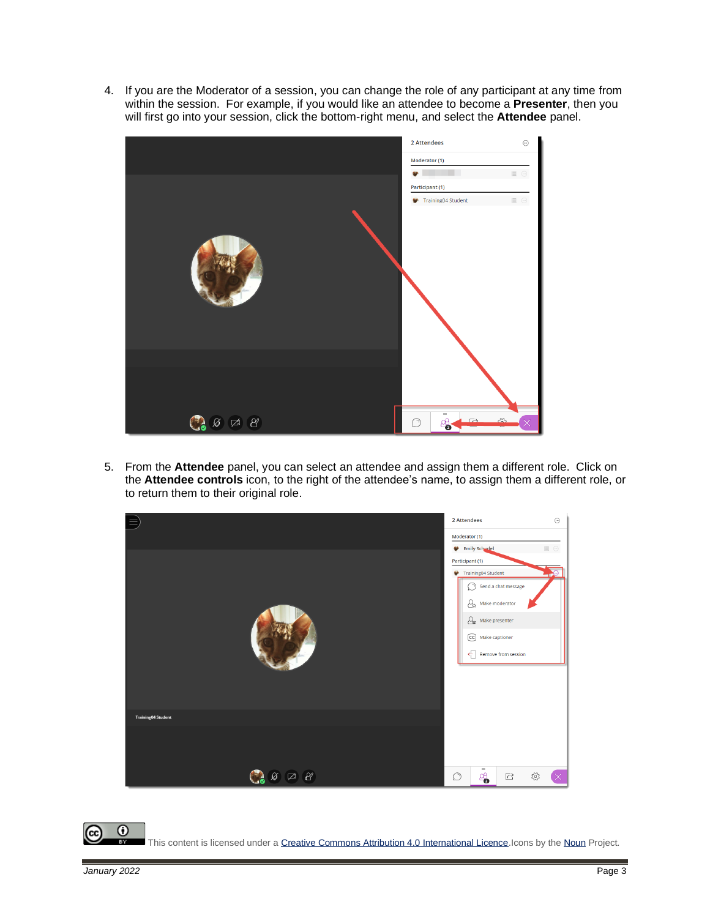4. If you are the Moderator of a session, you can change the role of any participant at any time from within the session. For example, if you would like an attendee to become a **Presenter**, then you will first go into your session, click the bottom-right menu, and select the **Attendee** panel.



5. From the **Attendee** panel, you can select an attendee and assign them a different role. Click on the **Attendee controls** icon, to the right of the attendee's name, to assign them a different role, or to return them to their original role.



 $\odot$ This content is licensed under [a Creative Commons Attribution 4.0 International Licence.I](https://creativecommons.org/licenses/by/4.0/)cons by th[e Noun](https://creativecommons.org/website-icons/) Project.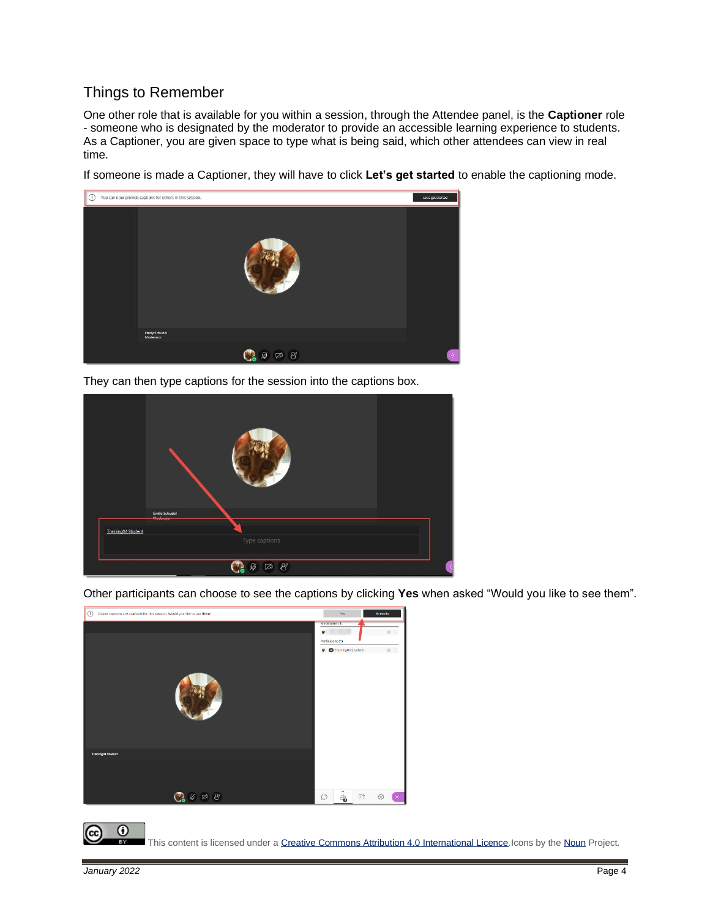## Things to Remember

One other role that is available for you within a session, through the Attendee panel, is the **Captioner** role - someone who is designated by the moderator to provide an accessible learning experience to students. As a Captioner, you are given space to type what is being said, which other attendees can view in real time.

If someone is made a Captioner, they will have to click **Let's get started** to enable the captioning mode.



They can then type captions for the session into the captions box.

|                           | Emily Schudel<br>Moderator |                                                            |   |
|---------------------------|----------------------------|------------------------------------------------------------|---|
| <b>Training04 Student</b> |                            | Type captions                                              |   |
|                           |                            | $\mathcal{B}'$<br>$\mathcal{B}$<br>$\overline{\mathbb{Z}}$ | ₹ |

Other participants can choose to see the captions by clicking **Yes** when asked "Would you like to see them".





This content is licensed under [a Creative Commons Attribution 4.0 International Licence.I](https://creativecommons.org/licenses/by/4.0/)cons by th[e Noun](https://creativecommons.org/website-icons/) Project.